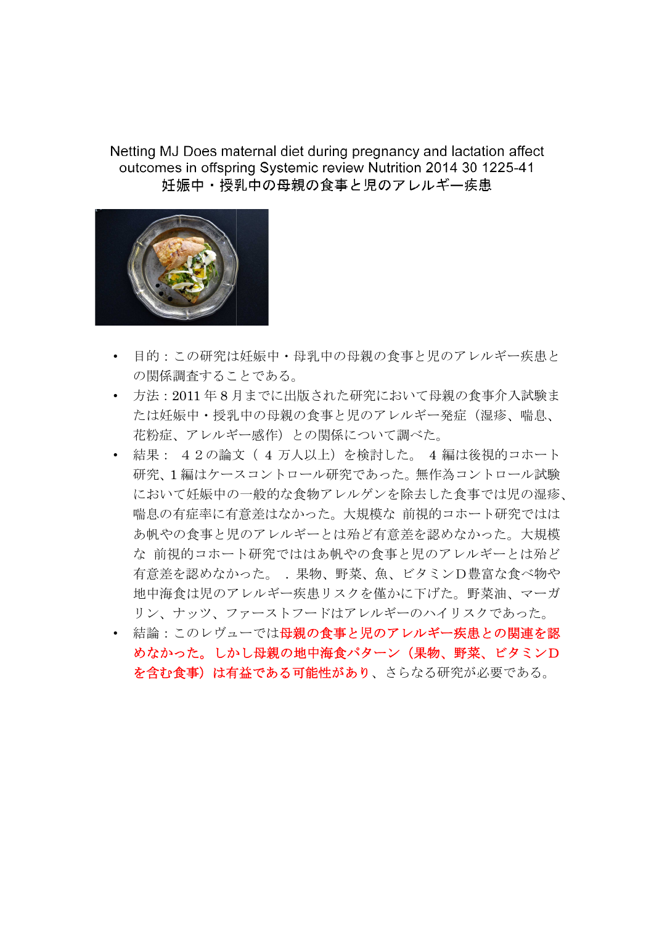Netting MJ Does maternal diet during pregnancy and lactation affect outcomes in offspring Systemic review Nutrition 2014 30 1225-41 妊娠中・授乳中の母親の食事と児のアレルギー疾患



- 目的:この研究は妊娠中・母乳中の母親の食事と児のアレルギー疾患と の関係調査することである。
- 方法:2011 年 8 月までに出版された研究において母親の食事介入試験ま たは妊娠中・授乳中の母親の食事と児のアレルギー発症(湿疹、喘息、 花粉症、アレルギー感作)との関係について調べた。
- 結果: 42の論文( 4 万人以上)を検討した。 4 編は後視的コホート 研究、1 編はケースコントロール研究であった。無作為コントロール試験 において妊娠中の一般的な食物アレルゲンを除去した食事では児の湿疹、 喘息の有症率に有意差はなかった。大規模な 前視的コホート研究ではは あ帆やの食事と児のアレルギーとは殆ど有意差を認めなかった。大規模 な 前視的コホート研究でははあ帆やの食事と児のアレルギーとは殆ど 有意差を認めなかった。 . 果物、野菜、魚、ビタミンD豊富な食べ物や 地中海食は児のアレルギー疾患リスクを僅かに下げた。野菜油、マーガ リン、ナッツ、ファーストフードはアレルギーのハイリスクであった。 • 結論:このレヴューでは :このレヴューでは母親の食事と児のアレルギー疾患との関連を認

めなかった。しかし母親の地中海食パターン(果物、野菜、ビタミンD 結論:このレヴューでは母親の食事と児のアレルギー疾患との関連を認<br>めなかった。しかし母親の地中海食パターン(果物、野菜、ビタミンD<br>を含む食事)は有益である可能性があり、さらなる研究が必要である。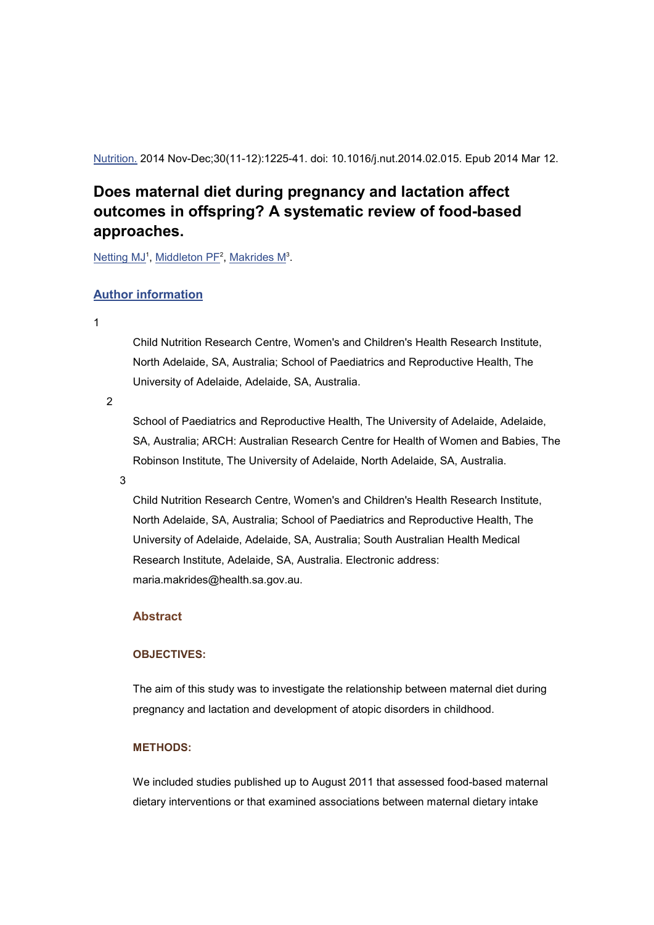Nutrition. 2014 Nov-Dec;30(11-12):1225-41. doi: 10.1016/j.nut.2014.02.015. Epub 2014 Mar 12.

# **Does maternal diet during pregnancy and lactation affect outcomes in offspring? A systematic review of food-based approaches.**

Netting MJ<sup>1</sup>, Middleton PF<sup>2</sup>, Makrides M<sup>3</sup>.

## **Author information**

1

Child Nutrition Research Centre, Women's and Children's Health Research Institute, North Adelaide, SA, Australia; School of Paediatrics and Reproductive Health, The University of Adelaide, Adelaide, SA, Australia.

2

School of Paediatrics and Reproductive Health, The University of Adelaide, Adelaide, SA, Australia; ARCH: Australian Research Centre for Health of Women and Babies, The Robinson Institute, The University of Adelaide, North Adelaide, SA, Australia.

3

Child Nutrition Research Centre, Women's and Children's Health Research Institute, North Adelaide, SA, Australia; School of Paediatrics and Reproductive Health, The University of Adelaide, Adelaide, SA, Australia; South Australian Health Medical Research Institute, Adelaide, SA, Australia. Electronic address: maria.makrides@health.sa.gov.au.

## **Abstract**

#### **OBJECTIVES:**

The aim of this study was to investigate the relationship between maternal diet during pregnancy and lactation and development of atopic disorders in childhood.

#### **METHODS:**

We included studies published up to August 2011 that assessed food-based maternal dietary interventions or that examined associations between maternal dietary intake